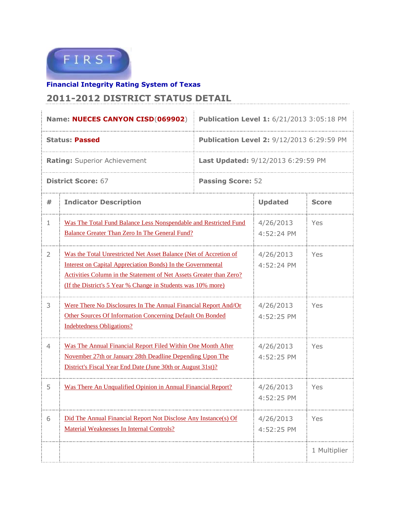

## **Financial Integrity Rating System of Texas 2011-2012 DISTRICT STATUS DETAIL**

|                                     | Name: NUECES CANYON CISD(069902)                                                                                                                                                                                                                                        | <b>Publication Level 1: 6/21/2013 3:05:18 PM</b> |                         |              |  |
|-------------------------------------|-------------------------------------------------------------------------------------------------------------------------------------------------------------------------------------------------------------------------------------------------------------------------|--------------------------------------------------|-------------------------|--------------|--|
|                                     | <b>Status: Passed</b>                                                                                                                                                                                                                                                   | <b>Publication Level 2: 9/12/2013 6:29:59 PM</b> |                         |              |  |
| <b>Rating: Superior Achievement</b> |                                                                                                                                                                                                                                                                         | <b>Last Updated: 9/12/2013 6:29:59 PM</b>        |                         |              |  |
| <b>District Score: 67</b>           |                                                                                                                                                                                                                                                                         | <b>Passing Score: 52</b>                         |                         |              |  |
| #                                   | <b>Indicator Description</b>                                                                                                                                                                                                                                            | <b>Updated</b>                                   | <b>Score</b>            |              |  |
| 1                                   | Was The Total Fund Balance Less Nonspendable and Restricted Fund<br><b>Balance Greater Than Zero In The General Fund?</b>                                                                                                                                               |                                                  | 4/26/2013<br>4:52:24 PM | Yes          |  |
| 2                                   | Was the Total Unrestricted Net Asset Balance (Net of Accretion of<br>Interest on Capital Appreciation Bonds) In the Governmental<br>Activities Column in the Statement of Net Assets Greater than Zero?<br>(If the District's 5 Year % Change in Students was 10% more) | 4/26/2013<br>4:52:24 PM                          | Yes                     |              |  |
| 3                                   | Were There No Disclosures In The Annual Financial Report And/Or<br>Other Sources Of Information Concerning Default On Bonded<br><b>Indebtedness Obligations?</b>                                                                                                        |                                                  | 4/26/2013<br>4:52:25 PM | Yes          |  |
| 4                                   | Was The Annual Financial Report Filed Within One Month After<br>November 27th or January 28th Deadline Depending Upon The<br>District's Fiscal Year End Date (June 30th or August 31st)?                                                                                |                                                  | 4/26/2013<br>4:52:25 PM | Yes          |  |
| 5                                   | Was There An Unqualified Opinion in Annual Financial Report?                                                                                                                                                                                                            |                                                  | 4/26/2013<br>4:52:25 PM | Yes          |  |
| 6                                   | Did The Annual Financial Report Not Disclose Any Instance(s) Of<br>Material Weaknesses In Internal Controls?                                                                                                                                                            |                                                  | 4/26/2013<br>4:52:25 PM | Yes          |  |
|                                     |                                                                                                                                                                                                                                                                         |                                                  |                         | 1 Multiplier |  |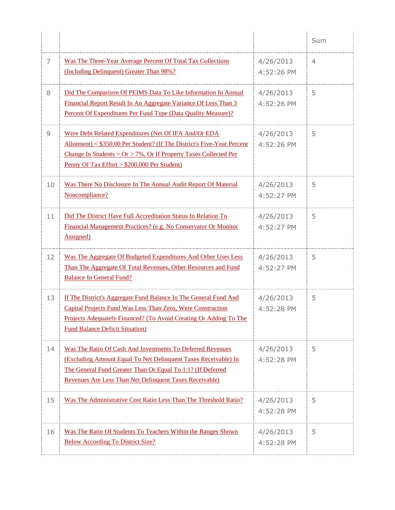|    |                                                                                                                                                                                                                                                          |                         | Sum            |
|----|----------------------------------------------------------------------------------------------------------------------------------------------------------------------------------------------------------------------------------------------------------|-------------------------|----------------|
| 7  | Was The Three-Year Average Percent Of Total Tax Collections<br>(Including Delinquent) Greater Than 98%?                                                                                                                                                  | 4/26/2013<br>4:52:26 PM | $\overline{4}$ |
| 8  | Did The Comparison Of PEIMS Data To Like Information In Annual<br>Financial Report Result In An Aggregate Variance Of Less Than 3<br>Percent Of Expenditures Per Fund Type (Data Quality Measure)?                                                       | 4/26/2013<br>4:52:26 PM | 5              |
| 9  | Were Debt Related Expenditures (Net Of IFA And/Or EDA<br>Allotment) < \$350.00 Per Student? (If The District's Five-Year Percent<br>Change In Students = $Or > 7\%$ , Or If Property Taxes Collected Per<br>Penny Of Tax Effort > \$200,000 Per Student) | 4/26/2013<br>4:52:26 PM | 5              |
| 10 | Was There No Disclosure In The Annual Audit Report Of Material<br>Noncompliance?                                                                                                                                                                         | 4/26/2013<br>4:52:27 PM | 5              |
| 11 | Did The District Have Full Accreditation Status In Relation To<br>Financial Management Practices? (e.g. No Conservator Or Monitor<br>Assigned)                                                                                                           | 4/26/2013<br>4:52:27 PM | 5              |
| 12 | Was The Aggregate Of Budgeted Expenditures And Other Uses Less<br>Than The Aggregate Of Total Revenues, Other Resources and Fund<br><b>Balance In General Fund?</b>                                                                                      | 4/26/2013<br>4:52:27 PM | 5              |
| 13 | If The District's Aggregate Fund Balance In The General Fund And<br>Capital Projects Fund Was Less Than Zero, Were Construction<br>Projects Adequately Financed? (To Avoid Creating Or Adding To The<br><b>Fund Balance Deficit Situation</b> )          | 4/26/2013<br>4:52:28 PM | 5              |
| 14 | Was The Ratio Of Cash And Investments To Deferred Revenues<br>(Excluding Amount Equal To Net Delinquent Taxes Receivable) In<br>The General Fund Greater Than Or Equal To 1:1? (If Deferred<br>Revenues Are Less Than Net Delinquent Taxes Receivable)   | 4/26/2013<br>4:52:28 PM | 5              |
| 15 | Was The Administrative Cost Ratio Less Than The Threshold Ratio?                                                                                                                                                                                         | 4/26/2013<br>4:52:28 PM | 5              |
| 16 | Was The Ratio Of Students To Teachers Within the Ranges Shown<br><b>Below According To District Size?</b>                                                                                                                                                | 4/26/2013<br>4:52:28 PM | 5              |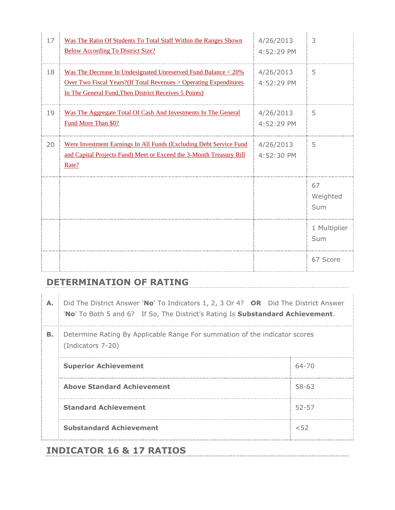| 17 | Was The Ratio Of Students To Total Staff Within the Ranges Shown<br><b>Below According To District Size?</b>                                                                                         | 4/26/2013<br>4:52:29 PM | 3                     |
|----|------------------------------------------------------------------------------------------------------------------------------------------------------------------------------------------------------|-------------------------|-----------------------|
| 18 | Was The Decrease In Undesignated Unreserved Fund Balance < 20%<br><b>Over Two Fiscal Years?</b> (If Total Revenues > Operating Expenditures<br>In The General Fund, Then District Receives 5 Points) | 4/26/2013<br>4:52:29 PM | 5                     |
| 19 | Was The Aggregate Total Of Cash And Investments In The General<br>Fund More Than \$0?                                                                                                                | 4/26/2013<br>4:52:29 PM | 5                     |
| 20 | Were Investment Earnings In All Funds (Excluding Debt Service Fund<br>and Capital Projects Fund) Meet or Exceed the 3-Month Treasury Bill<br>Rate?                                                   | 4/26/2013<br>4:52:30 PM | 5                     |
|    |                                                                                                                                                                                                      |                         | 67<br>Weighted<br>Sum |
|    |                                                                                                                                                                                                      |                         | 1 Multiplier<br>Sum   |
|    |                                                                                                                                                                                                      |                         | 67 Score              |

## **DETERMINATION OF RATING**

|  | A. Did The District Answer 'No' To Indicators 1, 2, 3 Or 4? OR Did The District Answer       |  |  |
|--|----------------------------------------------------------------------------------------------|--|--|
|  | <b>No'</b> To Both 5 and 6? If So, The District's Rating Is <b>Substandard Achievement</b> . |  |  |

**B.** Determine Rating By Applicable Range For summation of the indicator scores (Indicators 7-20)

| <b>Superior Achievement</b>       | 64-70 |
|-----------------------------------|-------|
| <b>Above Standard Achievement</b> | 58-63 |
| <b>Standard Achievement</b>       | 52-57 |
| <b>Substandard Achievement</b>    | レドク   |

## **INDICATOR 16 & 17 RATIOS**